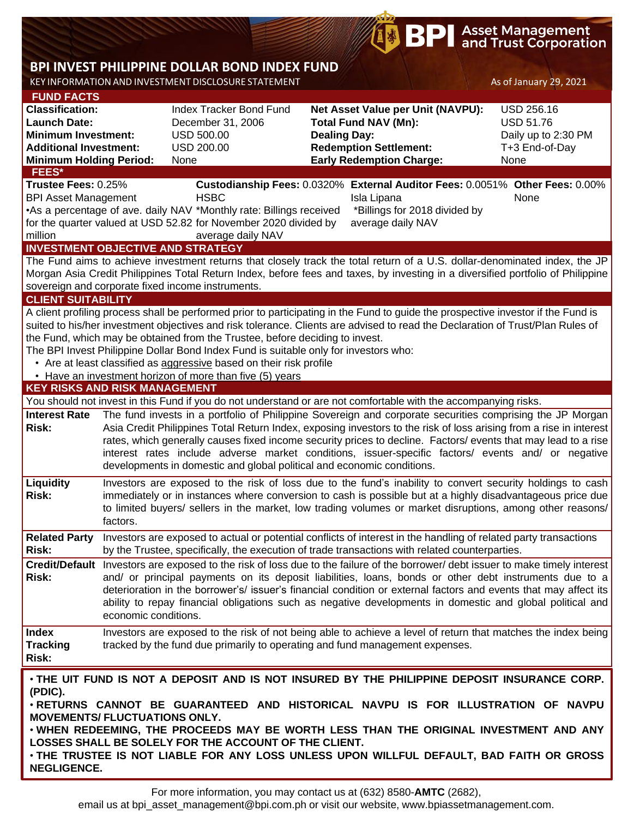## **BPI Asset Management**<br>and Trust Corporation

# **BPI INVEST PHILIPPINE DOLLAR BOND INDEX FUND**

KEY INFORMATION AND INVESTMENT DISCLOSURE STATEMENT As of January 29, 2021

**NEGLIGENCE.**

| <b>FUND FACTS</b>                               |                                                                              |                                                                                                                                                                                                                                                                                                                                                                                                                                                                                                                                                                                                                                                                                                                                                                                                                                                                                                                                                                                                                                                                                                                                                                                                                                                                                                                                                                                                                                                                                                                                                                                                                                                                                                                                                                                                                                                                                                                                                                                                                                                                                                                                                                                                                                                                                                                                                                                                                                                                                                                                                                                                                                                                                                                                                                                                                                                                                                                                                                                                             |                                                                                                                                                                                                                                                                                                                                                                       | $1.6$ or surrour $y = 3$ , $-9 - 2$ |  |  |  |  |
|-------------------------------------------------|------------------------------------------------------------------------------|-------------------------------------------------------------------------------------------------------------------------------------------------------------------------------------------------------------------------------------------------------------------------------------------------------------------------------------------------------------------------------------------------------------------------------------------------------------------------------------------------------------------------------------------------------------------------------------------------------------------------------------------------------------------------------------------------------------------------------------------------------------------------------------------------------------------------------------------------------------------------------------------------------------------------------------------------------------------------------------------------------------------------------------------------------------------------------------------------------------------------------------------------------------------------------------------------------------------------------------------------------------------------------------------------------------------------------------------------------------------------------------------------------------------------------------------------------------------------------------------------------------------------------------------------------------------------------------------------------------------------------------------------------------------------------------------------------------------------------------------------------------------------------------------------------------------------------------------------------------------------------------------------------------------------------------------------------------------------------------------------------------------------------------------------------------------------------------------------------------------------------------------------------------------------------------------------------------------------------------------------------------------------------------------------------------------------------------------------------------------------------------------------------------------------------------------------------------------------------------------------------------------------------------------------------------------------------------------------------------------------------------------------------------------------------------------------------------------------------------------------------------------------------------------------------------------------------------------------------------------------------------------------------------------------------------------------------------------------------------------------------------|-----------------------------------------------------------------------------------------------------------------------------------------------------------------------------------------------------------------------------------------------------------------------------------------------------------------------------------------------------------------------|-------------------------------------|--|--|--|--|
| <b>Classification:</b>                          |                                                                              | Index Tracker Bond Fund                                                                                                                                                                                                                                                                                                                                                                                                                                                                                                                                                                                                                                                                                                                                                                                                                                                                                                                                                                                                                                                                                                                                                                                                                                                                                                                                                                                                                                                                                                                                                                                                                                                                                                                                                                                                                                                                                                                                                                                                                                                                                                                                                                                                                                                                                                                                                                                                                                                                                                                                                                                                                                                                                                                                                                                                                                                                                                                                                                                     | Net Asset Value per Unit (NAVPU):                                                                                                                                                                                                                                                                                                                                     | <b>USD 256.16</b>                   |  |  |  |  |
| <b>Launch Date:</b>                             |                                                                              | December 31, 2006                                                                                                                                                                                                                                                                                                                                                                                                                                                                                                                                                                                                                                                                                                                                                                                                                                                                                                                                                                                                                                                                                                                                                                                                                                                                                                                                                                                                                                                                                                                                                                                                                                                                                                                                                                                                                                                                                                                                                                                                                                                                                                                                                                                                                                                                                                                                                                                                                                                                                                                                                                                                                                                                                                                                                                                                                                                                                                                                                                                           | <b>Total Fund NAV (Mn):</b>                                                                                                                                                                                                                                                                                                                                           | <b>USD 51.76</b>                    |  |  |  |  |
| <b>Minimum Investment:</b>                      |                                                                              | <b>USD 500.00</b>                                                                                                                                                                                                                                                                                                                                                                                                                                                                                                                                                                                                                                                                                                                                                                                                                                                                                                                                                                                                                                                                                                                                                                                                                                                                                                                                                                                                                                                                                                                                                                                                                                                                                                                                                                                                                                                                                                                                                                                                                                                                                                                                                                                                                                                                                                                                                                                                                                                                                                                                                                                                                                                                                                                                                                                                                                                                                                                                                                                           | <b>Dealing Day:</b>                                                                                                                                                                                                                                                                                                                                                   | Daily up to 2:30 PM                 |  |  |  |  |
| <b>Additional Investment:</b>                   |                                                                              | <b>USD 200.00</b>                                                                                                                                                                                                                                                                                                                                                                                                                                                                                                                                                                                                                                                                                                                                                                                                                                                                                                                                                                                                                                                                                                                                                                                                                                                                                                                                                                                                                                                                                                                                                                                                                                                                                                                                                                                                                                                                                                                                                                                                                                                                                                                                                                                                                                                                                                                                                                                                                                                                                                                                                                                                                                                                                                                                                                                                                                                                                                                                                                                           |                                                                                                                                                                                                                                                                                                                                                                       | T+3 End-of-Day                      |  |  |  |  |
| <b>Minimum Holding Period:</b>                  |                                                                              | None                                                                                                                                                                                                                                                                                                                                                                                                                                                                                                                                                                                                                                                                                                                                                                                                                                                                                                                                                                                                                                                                                                                                                                                                                                                                                                                                                                                                                                                                                                                                                                                                                                                                                                                                                                                                                                                                                                                                                                                                                                                                                                                                                                                                                                                                                                                                                                                                                                                                                                                                                                                                                                                                                                                                                                                                                                                                                                                                                                                                        |                                                                                                                                                                                                                                                                                                                                                                       | None                                |  |  |  |  |
| <b>FEES*</b>                                    |                                                                              |                                                                                                                                                                                                                                                                                                                                                                                                                                                                                                                                                                                                                                                                                                                                                                                                                                                                                                                                                                                                                                                                                                                                                                                                                                                                                                                                                                                                                                                                                                                                                                                                                                                                                                                                                                                                                                                                                                                                                                                                                                                                                                                                                                                                                                                                                                                                                                                                                                                                                                                                                                                                                                                                                                                                                                                                                                                                                                                                                                                                             |                                                                                                                                                                                                                                                                                                                                                                       |                                     |  |  |  |  |
| Trustee Fees: 0.25%                             |                                                                              |                                                                                                                                                                                                                                                                                                                                                                                                                                                                                                                                                                                                                                                                                                                                                                                                                                                                                                                                                                                                                                                                                                                                                                                                                                                                                                                                                                                                                                                                                                                                                                                                                                                                                                                                                                                                                                                                                                                                                                                                                                                                                                                                                                                                                                                                                                                                                                                                                                                                                                                                                                                                                                                                                                                                                                                                                                                                                                                                                                                                             |                                                                                                                                                                                                                                                                                                                                                                       |                                     |  |  |  |  |
| <b>BPI Asset Management</b>                     |                                                                              |                                                                                                                                                                                                                                                                                                                                                                                                                                                                                                                                                                                                                                                                                                                                                                                                                                                                                                                                                                                                                                                                                                                                                                                                                                                                                                                                                                                                                                                                                                                                                                                                                                                                                                                                                                                                                                                                                                                                                                                                                                                                                                                                                                                                                                                                                                                                                                                                                                                                                                                                                                                                                                                                                                                                                                                                                                                                                                                                                                                                             |                                                                                                                                                                                                                                                                                                                                                                       |                                     |  |  |  |  |
|                                                 |                                                                              |                                                                                                                                                                                                                                                                                                                                                                                                                                                                                                                                                                                                                                                                                                                                                                                                                                                                                                                                                                                                                                                                                                                                                                                                                                                                                                                                                                                                                                                                                                                                                                                                                                                                                                                                                                                                                                                                                                                                                                                                                                                                                                                                                                                                                                                                                                                                                                                                                                                                                                                                                                                                                                                                                                                                                                                                                                                                                                                                                                                                             |                                                                                                                                                                                                                                                                                                                                                                       |                                     |  |  |  |  |
| million                                         |                                                                              |                                                                                                                                                                                                                                                                                                                                                                                                                                                                                                                                                                                                                                                                                                                                                                                                                                                                                                                                                                                                                                                                                                                                                                                                                                                                                                                                                                                                                                                                                                                                                                                                                                                                                                                                                                                                                                                                                                                                                                                                                                                                                                                                                                                                                                                                                                                                                                                                                                                                                                                                                                                                                                                                                                                                                                                                                                                                                                                                                                                                             |                                                                                                                                                                                                                                                                                                                                                                       |                                     |  |  |  |  |
|                                                 |                                                                              |                                                                                                                                                                                                                                                                                                                                                                                                                                                                                                                                                                                                                                                                                                                                                                                                                                                                                                                                                                                                                                                                                                                                                                                                                                                                                                                                                                                                                                                                                                                                                                                                                                                                                                                                                                                                                                                                                                                                                                                                                                                                                                                                                                                                                                                                                                                                                                                                                                                                                                                                                                                                                                                                                                                                                                                                                                                                                                                                                                                                             |                                                                                                                                                                                                                                                                                                                                                                       |                                     |  |  |  |  |
| <b>INVESTMENT OBJECTIVE AND STRATEGY</b>        |                                                                              |                                                                                                                                                                                                                                                                                                                                                                                                                                                                                                                                                                                                                                                                                                                                                                                                                                                                                                                                                                                                                                                                                                                                                                                                                                                                                                                                                                                                                                                                                                                                                                                                                                                                                                                                                                                                                                                                                                                                                                                                                                                                                                                                                                                                                                                                                                                                                                                                                                                                                                                                                                                                                                                                                                                                                                                                                                                                                                                                                                                                             |                                                                                                                                                                                                                                                                                                                                                                       |                                     |  |  |  |  |
|                                                 |                                                                              |                                                                                                                                                                                                                                                                                                                                                                                                                                                                                                                                                                                                                                                                                                                                                                                                                                                                                                                                                                                                                                                                                                                                                                                                                                                                                                                                                                                                                                                                                                                                                                                                                                                                                                                                                                                                                                                                                                                                                                                                                                                                                                                                                                                                                                                                                                                                                                                                                                                                                                                                                                                                                                                                                                                                                                                                                                                                                                                                                                                                             |                                                                                                                                                                                                                                                                                                                                                                       |                                     |  |  |  |  |
|                                                 |                                                                              | <b>Redemption Settlement:</b><br><b>Early Redemption Charge:</b><br>Custodianship Fees: 0.0320% External Auditor Fees: 0.0051% Other Fees: 0.00%<br><b>HSBC</b><br>Isla Lipana<br>None<br>• As a percentage of ave. daily NAV * Monthly rate: Billings received<br>*Billings for 2018 divided by<br>for the quarter valued at USD 52.82 for November 2020 divided by<br>average daily NAV<br>average daily NAV<br>The Fund aims to achieve investment returns that closely track the total return of a U.S. dollar-denominated index, the JP<br>Morgan Asia Credit Philippines Total Return Index, before fees and taxes, by investing in a diversified portfolio of Philippine<br>sovereign and corporate fixed income instruments.<br>A client profiling process shall be performed prior to participating in the Fund to guide the prospective investor if the Fund is<br>suited to his/her investment objectives and risk tolerance. Clients are advised to read the Declaration of Trust/Plan Rules of<br>The BPI Invest Philippine Dollar Bond Index Fund is suitable only for investors who:<br>• Are at least classified as aggressive based on their risk profile<br>• Have an investment horizon of more than five (5) years<br><b>KEY RISKS AND RISK MANAGEMENT</b><br>You should not invest in this Fund if you do not understand or are not comfortable with the accompanying risks.<br>The fund invests in a portfolio of Philippine Sovereign and corporate securities comprising the JP Morgan<br>Asia Credit Philippines Total Return Index, exposing investors to the risk of loss arising from a rise in interest<br>rates, which generally causes fixed income security prices to decline. Factors/ events that may lead to a rise<br>interest rates include adverse market conditions, issuer-specific factors/ events and/ or negative<br>developments in domestic and global political and economic conditions.<br>Investors are exposed to the risk of loss due to the fund's inability to convert security holdings to cash<br>immediately or in instances where conversion to cash is possible but at a highly disadvantageous price due<br>to limited buyers/ sellers in the market, low trading volumes or market disruptions, among other reasons/<br>Investors are exposed to actual or potential conflicts of interest in the handling of related party transactions<br>by the Trustee, specifically, the execution of trade transactions with related counterparties.<br>Credit/Default Investors are exposed to the risk of loss due to the failure of the borrower/debt issuer to make timely interest<br>and/ or principal payments on its deposit liabilities, loans, bonds or other debt instruments due to a<br>deterioration in the borrower's/ issuer's financial condition or external factors and events that may affect its<br>ability to repay financial obligations such as negative developments in domestic and global political and<br>economic conditions. |                                                                                                                                                                                                                                                                                                                                                                       |                                     |  |  |  |  |
| <b>CLIENT SUITABILITY</b>                       |                                                                              |                                                                                                                                                                                                                                                                                                                                                                                                                                                                                                                                                                                                                                                                                                                                                                                                                                                                                                                                                                                                                                                                                                                                                                                                                                                                                                                                                                                                                                                                                                                                                                                                                                                                                                                                                                                                                                                                                                                                                                                                                                                                                                                                                                                                                                                                                                                                                                                                                                                                                                                                                                                                                                                                                                                                                                                                                                                                                                                                                                                                             |                                                                                                                                                                                                                                                                                                                                                                       |                                     |  |  |  |  |
|                                                 |                                                                              |                                                                                                                                                                                                                                                                                                                                                                                                                                                                                                                                                                                                                                                                                                                                                                                                                                                                                                                                                                                                                                                                                                                                                                                                                                                                                                                                                                                                                                                                                                                                                                                                                                                                                                                                                                                                                                                                                                                                                                                                                                                                                                                                                                                                                                                                                                                                                                                                                                                                                                                                                                                                                                                                                                                                                                                                                                                                                                                                                                                                             |                                                                                                                                                                                                                                                                                                                                                                       |                                     |  |  |  |  |
|                                                 |                                                                              |                                                                                                                                                                                                                                                                                                                                                                                                                                                                                                                                                                                                                                                                                                                                                                                                                                                                                                                                                                                                                                                                                                                                                                                                                                                                                                                                                                                                                                                                                                                                                                                                                                                                                                                                                                                                                                                                                                                                                                                                                                                                                                                                                                                                                                                                                                                                                                                                                                                                                                                                                                                                                                                                                                                                                                                                                                                                                                                                                                                                             |                                                                                                                                                                                                                                                                                                                                                                       |                                     |  |  |  |  |
|                                                 | the Fund, which may be obtained from the Trustee, before deciding to invest. |                                                                                                                                                                                                                                                                                                                                                                                                                                                                                                                                                                                                                                                                                                                                                                                                                                                                                                                                                                                                                                                                                                                                                                                                                                                                                                                                                                                                                                                                                                                                                                                                                                                                                                                                                                                                                                                                                                                                                                                                                                                                                                                                                                                                                                                                                                                                                                                                                                                                                                                                                                                                                                                                                                                                                                                                                                                                                                                                                                                                             |                                                                                                                                                                                                                                                                                                                                                                       |                                     |  |  |  |  |
|                                                 |                                                                              |                                                                                                                                                                                                                                                                                                                                                                                                                                                                                                                                                                                                                                                                                                                                                                                                                                                                                                                                                                                                                                                                                                                                                                                                                                                                                                                                                                                                                                                                                                                                                                                                                                                                                                                                                                                                                                                                                                                                                                                                                                                                                                                                                                                                                                                                                                                                                                                                                                                                                                                                                                                                                                                                                                                                                                                                                                                                                                                                                                                                             |                                                                                                                                                                                                                                                                                                                                                                       |                                     |  |  |  |  |
|                                                 |                                                                              |                                                                                                                                                                                                                                                                                                                                                                                                                                                                                                                                                                                                                                                                                                                                                                                                                                                                                                                                                                                                                                                                                                                                                                                                                                                                                                                                                                                                                                                                                                                                                                                                                                                                                                                                                                                                                                                                                                                                                                                                                                                                                                                                                                                                                                                                                                                                                                                                                                                                                                                                                                                                                                                                                                                                                                                                                                                                                                                                                                                                             |                                                                                                                                                                                                                                                                                                                                                                       |                                     |  |  |  |  |
|                                                 |                                                                              |                                                                                                                                                                                                                                                                                                                                                                                                                                                                                                                                                                                                                                                                                                                                                                                                                                                                                                                                                                                                                                                                                                                                                                                                                                                                                                                                                                                                                                                                                                                                                                                                                                                                                                                                                                                                                                                                                                                                                                                                                                                                                                                                                                                                                                                                                                                                                                                                                                                                                                                                                                                                                                                                                                                                                                                                                                                                                                                                                                                                             |                                                                                                                                                                                                                                                                                                                                                                       |                                     |  |  |  |  |
|                                                 |                                                                              |                                                                                                                                                                                                                                                                                                                                                                                                                                                                                                                                                                                                                                                                                                                                                                                                                                                                                                                                                                                                                                                                                                                                                                                                                                                                                                                                                                                                                                                                                                                                                                                                                                                                                                                                                                                                                                                                                                                                                                                                                                                                                                                                                                                                                                                                                                                                                                                                                                                                                                                                                                                                                                                                                                                                                                                                                                                                                                                                                                                                             |                                                                                                                                                                                                                                                                                                                                                                       |                                     |  |  |  |  |
|                                                 |                                                                              |                                                                                                                                                                                                                                                                                                                                                                                                                                                                                                                                                                                                                                                                                                                                                                                                                                                                                                                                                                                                                                                                                                                                                                                                                                                                                                                                                                                                                                                                                                                                                                                                                                                                                                                                                                                                                                                                                                                                                                                                                                                                                                                                                                                                                                                                                                                                                                                                                                                                                                                                                                                                                                                                                                                                                                                                                                                                                                                                                                                                             |                                                                                                                                                                                                                                                                                                                                                                       |                                     |  |  |  |  |
| <b>Interest Rate</b><br>Risk:                   |                                                                              |                                                                                                                                                                                                                                                                                                                                                                                                                                                                                                                                                                                                                                                                                                                                                                                                                                                                                                                                                                                                                                                                                                                                                                                                                                                                                                                                                                                                                                                                                                                                                                                                                                                                                                                                                                                                                                                                                                                                                                                                                                                                                                                                                                                                                                                                                                                                                                                                                                                                                                                                                                                                                                                                                                                                                                                                                                                                                                                                                                                                             |                                                                                                                                                                                                                                                                                                                                                                       |                                     |  |  |  |  |
| Liquidity<br><b>Risk:</b>                       | factors.                                                                     |                                                                                                                                                                                                                                                                                                                                                                                                                                                                                                                                                                                                                                                                                                                                                                                                                                                                                                                                                                                                                                                                                                                                                                                                                                                                                                                                                                                                                                                                                                                                                                                                                                                                                                                                                                                                                                                                                                                                                                                                                                                                                                                                                                                                                                                                                                                                                                                                                                                                                                                                                                                                                                                                                                                                                                                                                                                                                                                                                                                                             |                                                                                                                                                                                                                                                                                                                                                                       |                                     |  |  |  |  |
| <b>Related Party</b><br><b>Risk:</b>            |                                                                              |                                                                                                                                                                                                                                                                                                                                                                                                                                                                                                                                                                                                                                                                                                                                                                                                                                                                                                                                                                                                                                                                                                                                                                                                                                                                                                                                                                                                                                                                                                                                                                                                                                                                                                                                                                                                                                                                                                                                                                                                                                                                                                                                                                                                                                                                                                                                                                                                                                                                                                                                                                                                                                                                                                                                                                                                                                                                                                                                                                                                             |                                                                                                                                                                                                                                                                                                                                                                       |                                     |  |  |  |  |
| Risk:                                           |                                                                              |                                                                                                                                                                                                                                                                                                                                                                                                                                                                                                                                                                                                                                                                                                                                                                                                                                                                                                                                                                                                                                                                                                                                                                                                                                                                                                                                                                                                                                                                                                                                                                                                                                                                                                                                                                                                                                                                                                                                                                                                                                                                                                                                                                                                                                                                                                                                                                                                                                                                                                                                                                                                                                                                                                                                                                                                                                                                                                                                                                                                             |                                                                                                                                                                                                                                                                                                                                                                       |                                     |  |  |  |  |
| <b>Index</b><br><b>Tracking</b><br>Risk:        |                                                                              |                                                                                                                                                                                                                                                                                                                                                                                                                                                                                                                                                                                                                                                                                                                                                                                                                                                                                                                                                                                                                                                                                                                                                                                                                                                                                                                                                                                                                                                                                                                                                                                                                                                                                                                                                                                                                                                                                                                                                                                                                                                                                                                                                                                                                                                                                                                                                                                                                                                                                                                                                                                                                                                                                                                                                                                                                                                                                                                                                                                                             | Investors are exposed to the risk of not being able to achieve a level of return that matches the index being<br>tracked by the fund due primarily to operating and fund management expenses.                                                                                                                                                                         |                                     |  |  |  |  |
| (PDIC).<br><b>MOVEMENTS/ FLUCTUATIONS ONLY.</b> |                                                                              | LOSSES SHALL BE SOLELY FOR THE ACCOUNT OF THE CLIENT.                                                                                                                                                                                                                                                                                                                                                                                                                                                                                                                                                                                                                                                                                                                                                                                                                                                                                                                                                                                                                                                                                                                                                                                                                                                                                                                                                                                                                                                                                                                                                                                                                                                                                                                                                                                                                                                                                                                                                                                                                                                                                                                                                                                                                                                                                                                                                                                                                                                                                                                                                                                                                                                                                                                                                                                                                                                                                                                                                       | . THE UIT FUND IS NOT A DEPOSIT AND IS NOT INSURED BY THE PHILIPPINE DEPOSIT INSURANCE CORP.<br>. RETURNS CANNOT BE GUARANTEED AND HISTORICAL NAVPU IS FOR ILLUSTRATION OF NAVPU<br>. WHEN REDEEMING, THE PROCEEDS MAY BE WORTH LESS THAN THE ORIGINAL INVESTMENT AND ANY<br>· THE TRUSTEE IS NOT LIABLE FOR ANY LOSS UNLESS UPON WILLFUL DEFAULT, BAD FAITH OR GROSS |                                     |  |  |  |  |

email us at bpi\_asset\_management@bpi.com.ph or visit our website, www.bpiassetmanagement.com.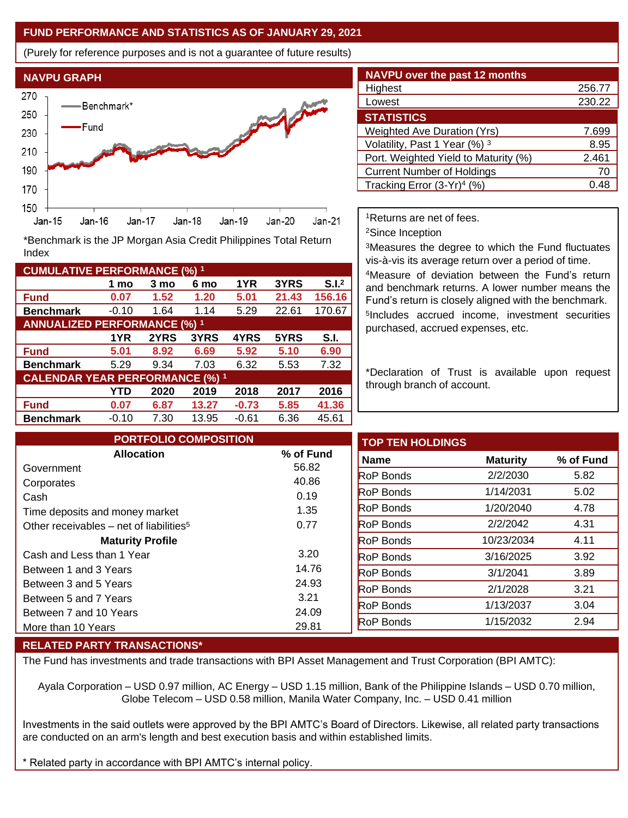### **FUND PERFORMANCE AND STATISTICS AS OF JANUARY 29, 2021**

(Purely for reference purposes and is not a guarantee of future results)



**Fund 0.07 1.52 1.20 5.01 21.43 156.16 Benchmark** -0.10 1.64 1.14 5.29 22.61 170.67

\*Benchmark is the JP Morgan Asia Credit Philippines Total Return

**Fund 5.01 8.92 6.69 5.92 5.10 6.90 Benchmark** 5.29 9.34 7.03 6.32 5.53 7.32

**Fund 0.07 6.87 13.27 -0.73 5.85 41.36 Benchmark** -0.10 7.30 13.95 -0.61 6.36 45.61

**1 mo 3 mo 6 mo 1YR 3YRS S.I.<sup>2</sup>**

**1YR 2YRS 3YRS 4YRS 5YRS S.I.**

**YTD 2020 2019 2018 2017 2016**

| <b>NAVPU over the past 12 months</b>   |        |
|----------------------------------------|--------|
| Highest                                | 256.77 |
| Lowest                                 | 230.22 |
| <b>STATISTICS</b>                      |        |
| <b>Weighted Ave Duration (Yrs)</b>     | 7.699  |
| Volatility, Past 1 Year (%) 3          | 8.95   |
| Port. Weighted Yield to Maturity (%)   | 2.461  |
| <b>Current Number of Holdings</b>      | 70     |
| Tracking Error (3-Yr) <sup>4</sup> (%) | () 48  |

<sup>1</sup>Returns are net of fees.

<sup>2</sup>Since Inception

<sup>3</sup>Measures the degree to which the Fund fluctuates vis-à-vis its average return over a period of time.

<sup>4</sup>Measure of deviation between the Fund's return and benchmark returns. A lower number means the Fund's return is closely aligned with the benchmark. 5 Includes accrued income, investment securities purchased, accrued expenses, etc.

\*Declaration of Trust is available upon request through branch of account.

| <b>PORTFOLIO COMPOSITION</b>                        |           | <b>TOP TEN HOLDINGS</b> |                 |           |
|-----------------------------------------------------|-----------|-------------------------|-----------------|-----------|
| <b>Allocation</b>                                   | % of Fund | Name                    | <b>Maturity</b> | % of Fund |
| Government                                          | 56.82     | <b>RoP Bonds</b>        | 2/2/2030        | 5.82      |
| Corporates                                          | 40.86     |                         |                 |           |
| Cash                                                | 0.19      | <b>RoP</b> Bonds        | 1/14/2031       | 5.02      |
| Time deposits and money market                      | 1.35      | <b>RoP</b> Bonds        | 1/20/2040       | 4.78      |
| Other receivables – net of liabilities <sup>5</sup> | 0.77      | <b>RoP</b> Bonds        | 2/2/2042        | 4.31      |
| <b>Maturity Profile</b>                             |           | <b>RoP Bonds</b>        | 10/23/2034      | 4.11      |
| Cash and Less than 1 Year                           | 3.20      | <b>RoP Bonds</b>        | 3/16/2025       | 3.92      |
| Between 1 and 3 Years                               | 14.76     | <b>RoP Bonds</b>        | 3/1/2041        | 3.89      |
| Between 3 and 5 Years                               | 24.93     | <b>RoP</b> Bonds        | 2/1/2028        | 3.21      |
| Between 5 and 7 Years                               | 3.21      |                         |                 |           |
| Between 7 and 10 Years                              | 24.09     | <b>RoP Bonds</b>        | 1/13/2037       | 3.04      |
| More than 10 Years                                  | 29.81     | RoP Bonds               | 1/15/2032       | 2.94      |

#### **RELATED PARTY TRANSACTIONS\***

**CUMULATIVE PERFORMANCE (%) <sup>1</sup>**

Index

**ANNUALIZED PERFORMANCE (%) <sup>1</sup>**

**CALENDAR YEAR PERFORMANCE (%) <sup>1</sup>**

The Fund has investments and trade transactions with BPI Asset Management and Trust Corporation (BPI AMTC):

Ayala Corporation – USD 0.97 million, AC Energy – USD 1.15 million, Bank of the Philippine Islands – USD 0.70 million, Globe Telecom – USD 0.58 million, Manila Water Company, Inc. – USD 0.41 million

Investments in the said outlets were approved by the BPI AMTC's Board of Directors. Likewise, all related party transactions are conducted on an arm's length and best execution basis and within established limits.

Related party in accordance with BPI AMTC's internal policy.